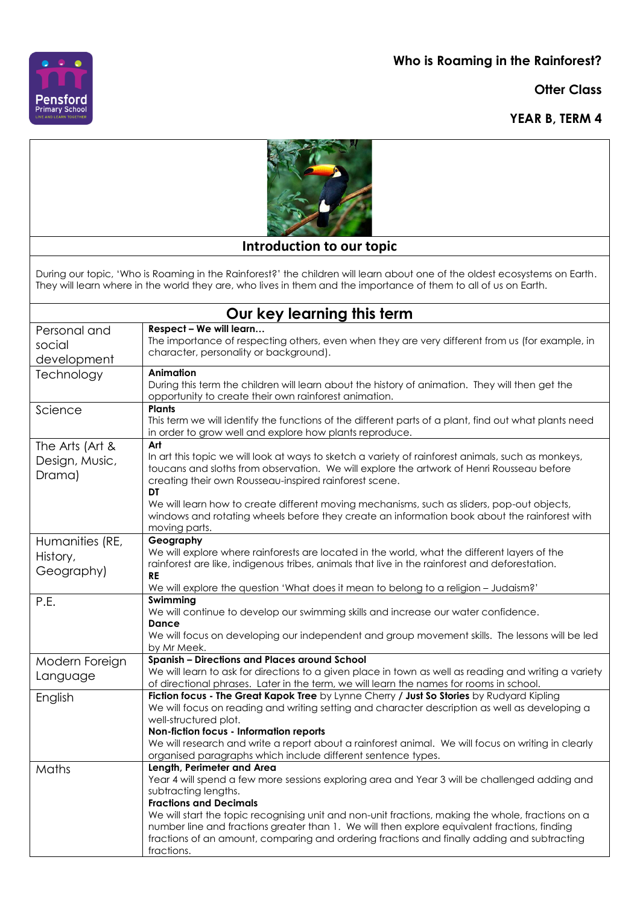**Who is Roaming in the Rainforest?**

**Otter Class**

**YEAR B, TERM 4**





## **Introduction to our topic**

During our topic, 'Who is Roaming in the Rainforest?' the children will learn about one of the oldest ecosystems on Earth. They will learn where in the world they are, who lives in them and the importance of them to all of us on Earth.

| Our key learning this term                  |                                                                                                                                                                                                                                                                                                                                                                                                                                                                                                        |
|---------------------------------------------|--------------------------------------------------------------------------------------------------------------------------------------------------------------------------------------------------------------------------------------------------------------------------------------------------------------------------------------------------------------------------------------------------------------------------------------------------------------------------------------------------------|
| Personal and<br>social<br>development       | Respect - We will learn<br>The importance of respecting others, even when they are very different from us (for example, in<br>character, personality or background).                                                                                                                                                                                                                                                                                                                                   |
| Technology                                  | Animation<br>During this term the children will learn about the history of animation. They will then get the<br>opportunity to create their own rainforest animation.                                                                                                                                                                                                                                                                                                                                  |
| Science                                     | <b>Plants</b><br>This term we will identify the functions of the different parts of a plant, find out what plants need<br>in order to grow well and explore how plants reproduce.                                                                                                                                                                                                                                                                                                                      |
| The Arts (Art &<br>Design, Music,<br>Drama) | Art<br>In art this topic we will look at ways to sketch a variety of rainforest animals, such as monkeys,<br>toucans and sloths from observation. We will explore the artwork of Henri Rousseau before<br>creating their own Rousseau-inspired rainforest scene.<br>DT<br>We will learn how to create different moving mechanisms, such as sliders, pop-out objects,<br>windows and rotating wheels before they create an information book about the rainforest with<br>moving parts.                  |
| Humanities (RE,<br>History,<br>Geography)   | Geography<br>We will explore where rainforests are located in the world, what the different layers of the<br>rainforest are like, indigenous tribes, animals that live in the rainforest and deforestation.<br><b>RE</b><br>We will explore the question 'What does it mean to belong to a religion - Judaism?'                                                                                                                                                                                        |
| P.E.                                        | Swimming<br>We will continue to develop our swimming skills and increase our water confidence.<br>Dance<br>We will focus on developing our independent and group movement skills. The lessons will be led<br>by Mr Meek.                                                                                                                                                                                                                                                                               |
| Modern Foreign<br>Language                  | <b>Spanish - Directions and Places around School</b><br>We will learn to ask for directions to a given place in town as well as reading and writing a variety<br>of directional phrases. Later in the term, we will learn the names for rooms in school.                                                                                                                                                                                                                                               |
| English                                     | Fiction focus - The Great Kapok Tree by Lynne Cherry / Just So Stories by Rudyard Kipling<br>We will focus on reading and writing setting and character description as well as developing a<br>well-structured plot.<br>Non-fiction focus - Information reports<br>We will research and write a report about a rainforest animal. We will focus on writing in clearly<br>organised paragraphs which include different sentence types.                                                                  |
| Maths                                       | Length, Perimeter and Area<br>Year 4 will spend a few more sessions exploring area and Year 3 will be challenged adding and<br>subtracting lengths.<br><b>Fractions and Decimals</b><br>We will start the topic recognising unit and non-unit fractions, making the whole, fractions on a<br>number line and fractions greater than 1. We will then explore equivalent fractions, finding<br>fractions of an amount, comparing and ordering fractions and finally adding and subtracting<br>fractions. |